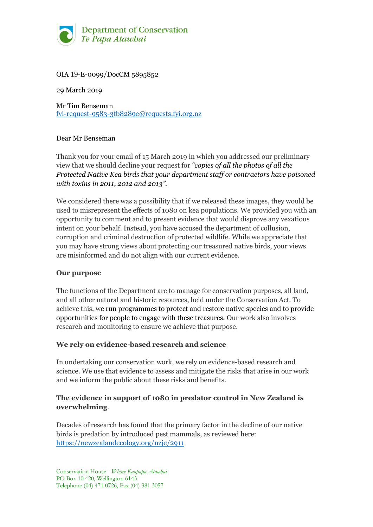

# OIA 19-E-0099/DocCM 5895852

29 March 2019

Mr Tim Benseman [fyi-request-9583-3fb8289e@requests.fyi.org.nz](mailto:xxxxxxxxxxxxxxxxxxxxxxxxx@xxxxxxxx.xxx.xxx.xx)

### Dear Mr Benseman

Thank you for your email of 15 March 2019 in which you addressed our preliminary view that we should decline your request for *"copies of all the photos of all the Protected Native Kea birds that your department staff or contractors have poisoned with toxins in 2011, 2012 and 2013".*

We considered there was a possibility that if we released these images, they would be used to misrepresent the effects of 1080 on kea populations. We provided you with an opportunity to comment and to present evidence that would disprove any vexatious intent on your behalf. Instead, you have accused the department of collusion, corruption and criminal destruction of protected wildlife. While we appreciate that you may have strong views about protecting our treasured native birds, your views are misinformed and do not align with our current evidence.

### **Our purpose**

The functions of the Department are to manage for conservation purposes, all land, and all other natural and historic resources, held under the Conservation Act. To achieve this, we run programmes to protect and restore native species and to provide opportunities for people to engage with these treasures. Our work also involves research and monitoring to ensure we achieve that purpose.

### **We rely on evidence-based research and science**

In undertaking our conservation work, we rely on evidence-based research and science. We use that evidence to assess and mitigate the risks that arise in our work and we inform the public about these risks and benefits.

## **The evidence in support of 1080 in predator control in New Zealand is overwhelming**.

Decades of research has found that the primary factor in the decline of our native birds is predation by introduced pest mammals, as reviewed here: <https://newzealandecology.org/nzje/2911>

Conservation House - *Whare Kaupapa Atawhai* PO Box 10 420, Wellington 6143 Telephone (04) 471 0726, Fax (04) 381 3057